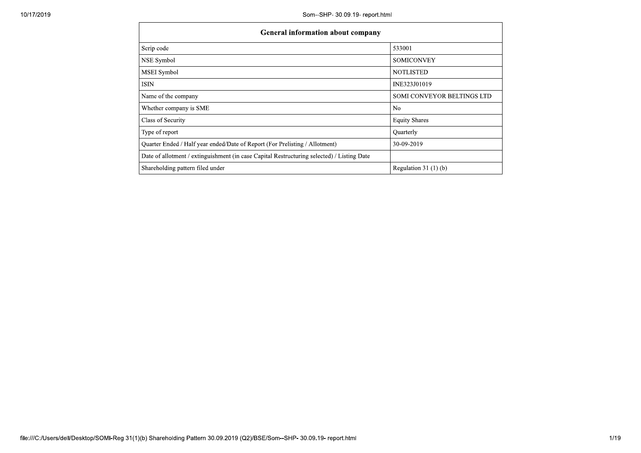| 10/17/2019 | Som--SHP- 30.09.19- report.html                                                            |                            |
|------------|--------------------------------------------------------------------------------------------|----------------------------|
|            | General information about company                                                          |                            |
|            | Scrip code                                                                                 | 533001                     |
|            | NSE Symbol                                                                                 | <b>SOMICONVEY</b>          |
|            | MSEI Symbol                                                                                | <b>NOTLISTED</b>           |
|            | <b>ISIN</b>                                                                                | INE323J01019               |
|            | Name of the company                                                                        | SOMI CONVEYOR BELTINGS LTD |
|            | Whether company is SME                                                                     | $\rm No$                   |
|            | Class of Security                                                                          | <b>Equity Shares</b>       |
|            | Type of report                                                                             | Quarterly                  |
|            | Quarter Ended / Half year ended/Date of Report (For Prelisting / Allotment)                | 30-09-2019                 |
|            | Date of allotment / extinguishment (in case Capital Restructuring selected) / Listing Date |                            |
|            | Shareholding pattern filed under                                                           | Regulation 31 $(1)(b)$     |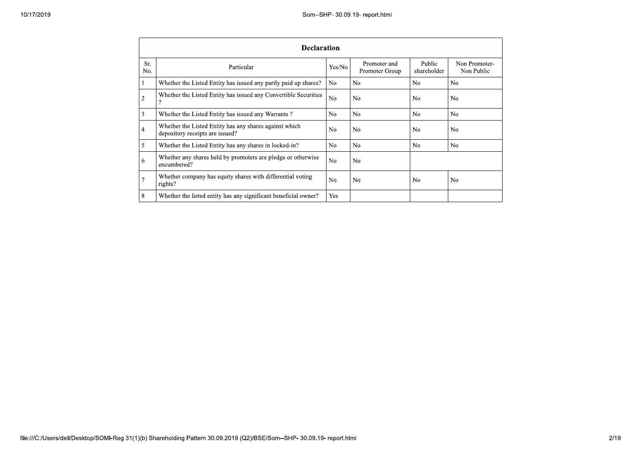|            | <b>Declaration</b>                                                                        |                |                                |                       |                             |
|------------|-------------------------------------------------------------------------------------------|----------------|--------------------------------|-----------------------|-----------------------------|
| Sr.<br>No. | Particular                                                                                | Yes/No         | Promoter and<br>Promoter Group | Public<br>shareholder | Non Promoter-<br>Non Public |
|            | Whether the Listed Entity has issued any partly paid up shares?                           | No.            | N <sub>0</sub>                 | N <sub>0</sub>        | N <sub>0</sub>              |
| 2          | Whether the Listed Entity has issued any Convertible Securities<br>?                      | No.            | No.                            | N <sub>0</sub>        | N <sub>0</sub>              |
| 3          | Whether the Listed Entity has issued any Warrants?                                        | No.            | No.                            | N <sub>o</sub>        | N <sub>o</sub>              |
| 4          | Whether the Listed Entity has any shares against which<br>depository receipts are issued? | No.            | N <sub>0</sub>                 | N <sub>0</sub>        | N <sub>0</sub>              |
| 5          | Whether the Listed Entity has any shares in locked-in?                                    | No.            | N <sub>o</sub>                 | N <sub>o</sub>        | N <sub>0</sub>              |
| 6          | Whether any shares held by promoters are pledge or otherwise<br>encumbered?               | N <sub>o</sub> | N <sub>o</sub>                 |                       |                             |
|            | Whether company has equity shares with differential voting<br>rights?                     | No.            | No.                            | N <sub>0</sub>        | N <sub>o</sub>              |
| 8          | Whether the listed entity has any significant beneficial owner?                           | Yes            |                                |                       |                             |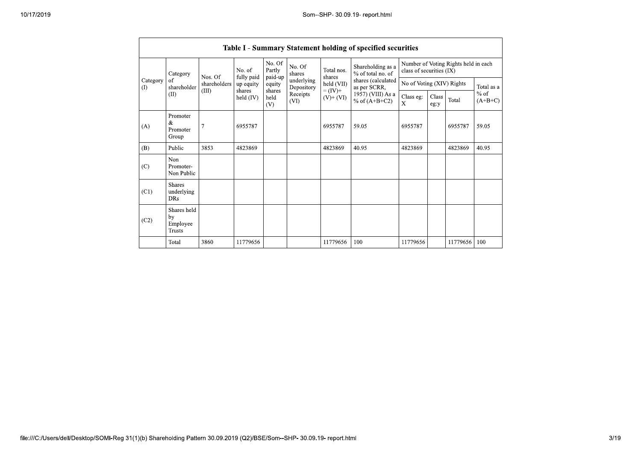|                         |                                           |              |                         |                       |                          |                              | Table I - Summary Statement holding of specified securities |                           |               |                                      |                     |
|-------------------------|-------------------------------------------|--------------|-------------------------|-----------------------|--------------------------|------------------------------|-------------------------------------------------------------|---------------------------|---------------|--------------------------------------|---------------------|
|                         | Category                                  | Nos. Of      | No. of                  | No. Of<br>Partly      | No. Of<br>shares         | Total nos.<br>shares         | Shareholding as a<br>% of total no. of                      | class of securities (IX)  |               | Number of Voting Rights held in each |                     |
| Category<br>$\bigoplus$ | of<br>shareholder<br>(II)                 | shareholders | fully paid<br>up equity | paid-up<br>equity     | underlying<br>Depository | held (VII)                   | shares (calculated<br>as per SCRR,                          | No of Voting (XIV) Rights |               |                                      | Total as a          |
|                         |                                           | (III)        | shares<br>held $(IV)$   | shares<br>held<br>(V) | Receipts<br>(VI)         | $= (IV) +$<br>$(V)$ + $(VI)$ | 1957) (VIII) As a<br>% of $(A+B+C2)$                        | Class eg:<br>X            | Class<br>eg:y | Total                                | $%$ of<br>$(A+B+C)$ |
| (A)                     | Promoter<br>&<br>Promoter<br>Group        | 7            | 6955787                 |                       |                          | 6955787                      | 59.05                                                       | 6955787                   |               | 6955787                              | 59.05               |
| (B)                     | Public                                    | 3853         | 4823869                 |                       |                          | 4823869                      | 40.95                                                       | 4823869                   |               | 4823869                              | 40.95               |
| (C)                     | Non<br>Promoter-<br>Non Public            |              |                         |                       |                          |                              |                                                             |                           |               |                                      |                     |
| (C1)                    | <b>Shares</b><br>underlying<br><b>DRs</b> |              |                         |                       |                          |                              |                                                             |                           |               |                                      |                     |
| (C2)                    | Shares held<br>by<br>Employee<br>Trusts   |              |                         |                       |                          |                              |                                                             |                           |               |                                      |                     |
|                         | Total                                     | 3860         | 11779656                |                       |                          | 11779656                     | 100                                                         | 11779656                  |               | 11779656                             | 100                 |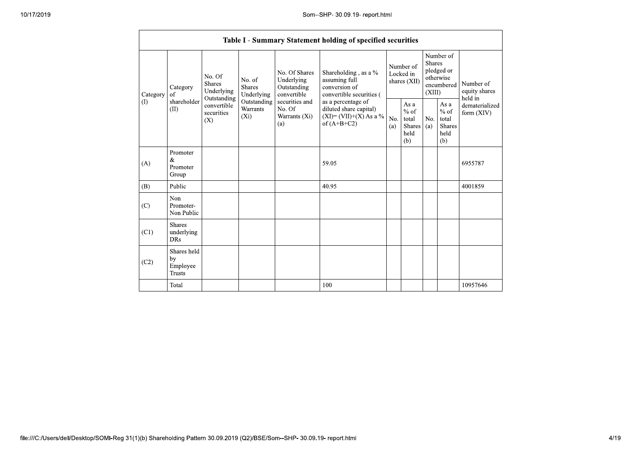|                      |                                                |                                                      |                                       |                                                           | Table I - Summary Statement holding of specified securities                        |                                                                                          |                                        |                                                         |                                                    |                                                         |
|----------------------|------------------------------------------------|------------------------------------------------------|---------------------------------------|-----------------------------------------------------------|------------------------------------------------------------------------------------|------------------------------------------------------------------------------------------|----------------------------------------|---------------------------------------------------------|----------------------------------------------------|---------------------------------------------------------|
| Category<br>$\rm(D)$ | Category<br>of<br>shareholder<br>(II)          | No. Of<br><b>Shares</b><br>Underlying<br>Outstanding | No. of<br><b>Shares</b><br>Underlying | No. Of Shares<br>Underlying<br>Outstanding<br>convertible | Shareholding, as a %<br>assuming full<br>conversion of<br>convertible securities ( |                                                                                          | Number of<br>Locked in<br>shares (XII) | <b>Shares</b><br>(XIII)                                 | Number of<br>pledged or<br>otherwise<br>encumbered | Number of<br>equity shares<br>held in                   |
|                      |                                                | (X)                                                  | convertible<br>securities<br>$(X_i)$  | Outstanding<br>Warrants                                   | securities and<br>No. Of<br>Warrants (Xi)<br>(a)                                   | as a percentage of<br>diluted share capital)<br>$(XI)=(VII)+(X) As a %$<br>of $(A+B+C2)$ | No.<br>(a)                             | As a<br>$%$ of<br>total<br><b>Shares</b><br>held<br>(b) | No.<br>(a)                                         | As a<br>$%$ of<br>total<br><b>Shares</b><br>held<br>(b) |
| (A)                  | Promoter<br>&<br>Promoter<br>Group             |                                                      |                                       |                                                           | 59.05                                                                              |                                                                                          |                                        |                                                         |                                                    | 6955787                                                 |
| (B)                  | Public                                         |                                                      |                                       |                                                           | 40.95                                                                              |                                                                                          |                                        |                                                         |                                                    | 4001859                                                 |
| (C)                  | Non<br>Promoter-<br>Non Public                 |                                                      |                                       |                                                           |                                                                                    |                                                                                          |                                        |                                                         |                                                    |                                                         |
| (C1)                 | <b>Shares</b><br>underlying<br><b>DRs</b>      |                                                      |                                       |                                                           |                                                                                    |                                                                                          |                                        |                                                         |                                                    |                                                         |
| (C2)                 | Shares held<br>by<br>Employee<br><b>Trusts</b> |                                                      |                                       |                                                           |                                                                                    |                                                                                          |                                        |                                                         |                                                    |                                                         |
|                      | Total                                          |                                                      |                                       |                                                           | 100                                                                                |                                                                                          |                                        |                                                         |                                                    | 10957646                                                |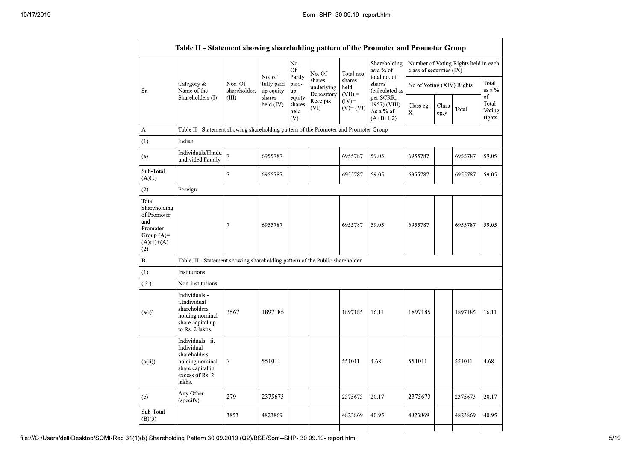|                                                                                                | Table II - Statement showing shareholding pattern of the Promoter and Promoter Group                                |                         |                         |                                 |                                    |                             |                                                      |                                                                  |               |         |                                 |  |
|------------------------------------------------------------------------------------------------|---------------------------------------------------------------------------------------------------------------------|-------------------------|-------------------------|---------------------------------|------------------------------------|-----------------------------|------------------------------------------------------|------------------------------------------------------------------|---------------|---------|---------------------------------|--|
|                                                                                                |                                                                                                                     |                         | No. of                  | No.<br><b>Of</b>                | No. Of                             | Total nos.                  | Shareholding<br>as a % of<br>total no. of            | Number of Voting Rights held in each<br>class of securities (IX) |               |         |                                 |  |
| Sr.                                                                                            | Category &<br>Name of the                                                                                           | Nos. Of<br>shareholders | fully paid<br>up equity | Partly<br>paid-<br>up           | shares<br>underlying<br>Depository | shares<br>held<br>$(VII) =$ | shares<br>(calculated as                             | No of Voting (XIV) Rights                                        |               |         | Total<br>as a $\%$              |  |
|                                                                                                | Shareholders (I)                                                                                                    | (III)                   | shares<br>held (IV)     | equity<br>shares<br>held<br>(V) | Receipts<br>(VI)                   | $(IV)$ +<br>$(V)+(VI)$      | per SCRR,<br>1957) (VIII)<br>As a % of<br>$(A+B+C2)$ | Class eg:<br>$\mathbf X$                                         | Class<br>eg:y | Total   | of<br>Total<br>Voting<br>rights |  |
| А                                                                                              | Table II - Statement showing shareholding pattern of the Promoter and Promoter Group                                |                         |                         |                                 |                                    |                             |                                                      |                                                                  |               |         |                                 |  |
| $\left(1\right)$                                                                               | Indian                                                                                                              |                         |                         |                                 |                                    |                             |                                                      |                                                                  |               |         |                                 |  |
| (a)                                                                                            | Individuals/Hindu<br>undivided Family                                                                               | $\overline{7}$          | 6955787                 |                                 |                                    | 6955787                     | 59.05                                                | 6955787                                                          |               | 6955787 | 59.05                           |  |
| Sub-Total<br>(A)(1)                                                                            |                                                                                                                     | $\tau$                  | 6955787                 |                                 |                                    | 6955787                     | 59.05                                                | 6955787                                                          |               | 6955787 | 59.05                           |  |
| (2)                                                                                            | Foreign                                                                                                             |                         |                         |                                 |                                    |                             |                                                      |                                                                  |               |         |                                 |  |
| Total<br>Shareholding<br>of Promoter<br>and<br>Promoter<br>Group $(A)=$<br>$(A)(1)+(A)$<br>(2) |                                                                                                                     | 7                       | 6955787                 |                                 |                                    | 6955787                     | 59.05                                                | 6955787                                                          |               | 6955787 | 59.05                           |  |
| B                                                                                              | Table III - Statement showing shareholding pattern of the Public shareholder                                        |                         |                         |                                 |                                    |                             |                                                      |                                                                  |               |         |                                 |  |
| $\left(1\right)$                                                                               | Institutions                                                                                                        |                         |                         |                                 |                                    |                             |                                                      |                                                                  |               |         |                                 |  |
| (3)                                                                                            | Non-institutions                                                                                                    |                         |                         |                                 |                                    |                             |                                                      |                                                                  |               |         |                                 |  |
| (a(i))                                                                                         | Individuals -<br>i.Individual<br>shareholders<br>holding nominal<br>share capital up<br>to Rs. 2 lakhs.             | 3567                    | 1897185                 |                                 |                                    | 1897185                     | 16.11                                                | 1897185                                                          |               | 1897185 | 16.11                           |  |
| (a(ii))                                                                                        | Individuals - ii.<br>Individual<br>shareholders<br>holding nominal<br>share capital in<br>excess of Rs. 2<br>lakhs. | $\tau$                  | 551011                  |                                 |                                    | 551011                      | 4.68                                                 | 551011                                                           |               | 551011  | 4.68                            |  |
| (e)                                                                                            | Any Other<br>(specify)                                                                                              | 279                     | 2375673                 |                                 |                                    | 2375673                     | 20.17                                                | 2375673                                                          |               | 2375673 | 20.17                           |  |
| Sub-Total<br>(B)(3)                                                                            |                                                                                                                     | 3853                    | 4823869                 |                                 |                                    | 4823869                     | 40.95                                                | 4823869                                                          |               | 4823869 | 40.95                           |  |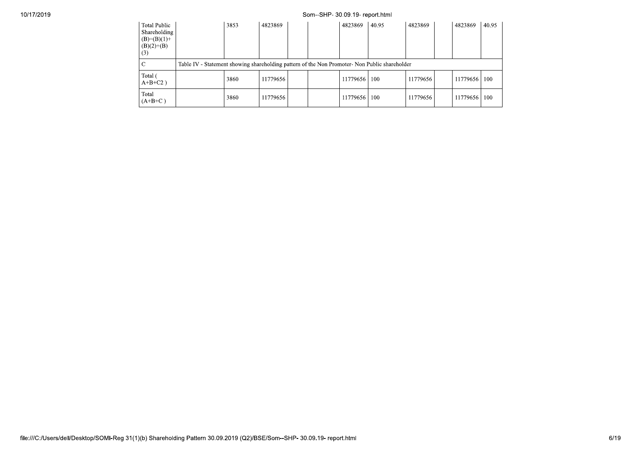## Som--SHP- 30.09.19- report.html

| Total Public<br>Shareholding<br>$(B)=(B)(1)+$<br>$(B)(2)+(B)$<br>(3) |                                                                                               | 3853 | 4823869  |  | 4823869  | 40.95 | 4823869  | 4823869  | 40.95 |
|----------------------------------------------------------------------|-----------------------------------------------------------------------------------------------|------|----------|--|----------|-------|----------|----------|-------|
|                                                                      | Table IV - Statement showing shareholding pattern of the Non Promoter- Non Public shareholder |      |          |  |          |       |          |          |       |
| Total (<br>$A+B+C2$ )                                                |                                                                                               | 3860 | 11779656 |  | 11779656 | 100   | 11779656 | 11779656 | 100   |
| Total<br>$(A+B+C)$                                                   |                                                                                               | 3860 | 11779656 |  | 11779656 | 100   | 11779656 | 11779656 | 100   |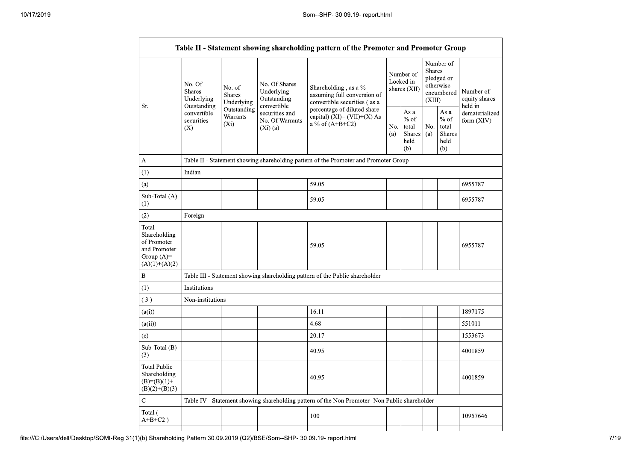|                                                                                          |                                                      |                                       |                                                           | Table II - Statement showing shareholding pattern of the Promoter and Promoter Group          |                                                                |                                          |                         |                                                         |                                       |
|------------------------------------------------------------------------------------------|------------------------------------------------------|---------------------------------------|-----------------------------------------------------------|-----------------------------------------------------------------------------------------------|----------------------------------------------------------------|------------------------------------------|-------------------------|---------------------------------------------------------|---------------------------------------|
| Sr.                                                                                      | No. Of<br><b>Shares</b><br>Underlying<br>Outstanding | No. of<br><b>Shares</b><br>Underlying | No. Of Shares<br>Underlying<br>Outstanding<br>convertible | Shareholding, as a %<br>assuming full conversion of<br>convertible securities (as a           |                                                                | Number of<br>Locked in<br>shares $(XII)$ | <b>Shares</b><br>(XIII) | Number of<br>pledged or<br>otherwise<br>encumbered      | Number of<br>equity shares<br>held in |
|                                                                                          | convertible<br>securities<br>(X)                     | Outstanding<br>Warrants<br>$(X_i)$    | securities and<br>No. Of Warrants<br>$(Xi)$ (a)           | percentage of diluted share<br>capital) $(XI) = (VII)+(X) As$<br>a % of $(A+B+C2)$            | As a<br>$%$ of<br>No.<br>total<br>Shares<br>(a)<br>held<br>(b) |                                          | No.<br>(a)              | As a<br>$%$ of<br>total<br><b>Shares</b><br>held<br>(b) | dematerialized<br>form $(XIV)$        |
| A                                                                                        |                                                      |                                       |                                                           | Table II - Statement showing shareholding pattern of the Promoter and Promoter Group          |                                                                |                                          |                         |                                                         |                                       |
| (1)                                                                                      | Indian                                               |                                       |                                                           |                                                                                               |                                                                |                                          |                         |                                                         |                                       |
| (a)                                                                                      |                                                      |                                       |                                                           | 59.05                                                                                         |                                                                |                                          |                         |                                                         | 6955787                               |
| Sub-Total (A)<br>(1)                                                                     |                                                      |                                       |                                                           | 59.05                                                                                         |                                                                |                                          |                         |                                                         | 6955787                               |
| (2)                                                                                      | Foreign                                              |                                       |                                                           |                                                                                               |                                                                |                                          |                         |                                                         |                                       |
| Total<br>Shareholding<br>of Promoter<br>and Promoter<br>Group $(A)$ =<br>$(A)(1)+(A)(2)$ |                                                      |                                       |                                                           | 59.05                                                                                         |                                                                |                                          |                         |                                                         | 6955787                               |
| B                                                                                        |                                                      |                                       |                                                           | Table III - Statement showing shareholding pattern of the Public shareholder                  |                                                                |                                          |                         |                                                         |                                       |
| (1)                                                                                      | Institutions                                         |                                       |                                                           |                                                                                               |                                                                |                                          |                         |                                                         |                                       |
| (3)                                                                                      | Non-institutions                                     |                                       |                                                           |                                                                                               |                                                                |                                          |                         |                                                         |                                       |
| (a(i))                                                                                   |                                                      |                                       |                                                           | 16.11                                                                                         |                                                                |                                          |                         |                                                         | 1897175                               |
| (a(ii))                                                                                  |                                                      |                                       |                                                           | 4.68                                                                                          |                                                                |                                          |                         |                                                         | 551011                                |
| (e)                                                                                      |                                                      |                                       |                                                           | 20.17                                                                                         |                                                                |                                          |                         |                                                         | 1553673                               |
| Sub-Total (B)<br>(3)                                                                     |                                                      |                                       |                                                           | 40.95                                                                                         |                                                                |                                          |                         |                                                         | 4001859                               |
| <b>Total Public</b><br>Shareholding<br>$(B)=(B)(1)+$<br>$(B)(2)+(B)(3)$                  |                                                      |                                       |                                                           | 40.95                                                                                         |                                                                |                                          |                         |                                                         | 4001859                               |
| $\ddot{C}$                                                                               |                                                      |                                       |                                                           | Table IV - Statement showing shareholding pattern of the Non Promoter- Non Public shareholder |                                                                |                                          |                         |                                                         |                                       |
| Total (<br>$A+B+C2$ )                                                                    |                                                      |                                       |                                                           | 100                                                                                           |                                                                |                                          |                         |                                                         | 10957646                              |
|                                                                                          |                                                      |                                       |                                                           |                                                                                               |                                                                |                                          |                         |                                                         |                                       |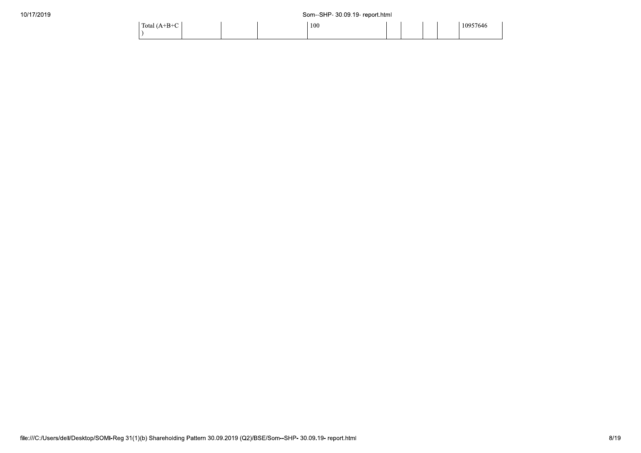| Total $(A+B+C)$ |  | 100 |  |  | 10957646 |  |
|-----------------|--|-----|--|--|----------|--|
|                 |  |     |  |  |          |  |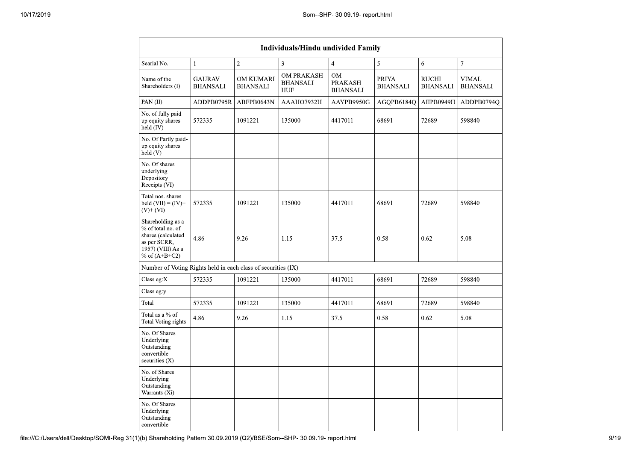|                                                                                                                      |                                  |                                     | Individuals/Hindu undivided Family          |                                                |                                 |                                 |                          |
|----------------------------------------------------------------------------------------------------------------------|----------------------------------|-------------------------------------|---------------------------------------------|------------------------------------------------|---------------------------------|---------------------------------|--------------------------|
| Searial No.                                                                                                          | $\mathbf{1}$                     | $\overline{2}$                      | $\overline{\mathbf{3}}$                     | $\overline{4}$                                 | 5                               | 6                               | $\tau$                   |
| Name of the<br>Shareholders (I)                                                                                      | <b>GAURAV</b><br><b>BHANSALI</b> | <b>OM KUMARI</b><br><b>BHANSALI</b> | OM PRAKASH<br><b>BHANSALI</b><br><b>HUF</b> | <b>OM</b><br><b>PRAKASH</b><br><b>BHANSALI</b> | <b>PRIYA</b><br><b>BHANSALI</b> | <b>RUCHI</b><br><b>BHANSALI</b> | VIMAL<br><b>BHANSALI</b> |
| PAN(II)                                                                                                              | ADDPB0795R                       | ABFPB0643N                          | AAAHO7932H                                  | AAYPB9950G                                     | AGQPB6184Q                      | AIIPB0949H                      | ADDPB0794Q               |
| No. of fully paid<br>up equity shares<br>$\text{held}(\text{IV})$                                                    | 572335                           | 1091221                             | 135000                                      | 4417011                                        | 68691                           | 72689                           | 598840                   |
| No. Of Partly paid-<br>up equity shares<br>held(V)                                                                   |                                  |                                     |                                             |                                                |                                 |                                 |                          |
| No. Of shares<br>underlying<br>Depository<br>Receipts (VI)                                                           |                                  |                                     |                                             |                                                |                                 |                                 |                          |
| Total nos. shares<br>held $(VII) = (IV) +$<br>$(V)$ + $(VI)$                                                         | 572335                           | 1091221                             | 135000                                      | 4417011                                        | 68691                           | 72689                           | 598840                   |
| Shareholding as a<br>% of total no. of<br>shares (calculated<br>as per SCRR,<br>1957) (VIII) As a<br>% of $(A+B+C2)$ | 4.86                             | 9.26                                | 1.15                                        | 37.5                                           | 0.58                            | 0.62                            | 5.08                     |
| Number of Voting Rights held in each class of securities (IX)                                                        |                                  |                                     |                                             |                                                |                                 |                                 |                          |
| Class eg: $X$                                                                                                        | 572335                           | 1091221                             | 135000                                      | 4417011                                        | 68691                           | 72689                           | 598840                   |
| Class eg:y                                                                                                           |                                  |                                     |                                             |                                                |                                 |                                 |                          |
| Total                                                                                                                | 572335                           | 1091221                             | 135000                                      | 4417011                                        | 68691                           | 72689                           | 598840                   |
| Total as a % of<br><b>Total Voting rights</b>                                                                        | 4.86                             | 9.26                                | 1.15                                        | 37.5                                           | 0.58                            | 0.62                            | 5.08                     |
| No. Of Shares<br>Underlying<br>Outstanding<br>convertible<br>securities $(X)$                                        |                                  |                                     |                                             |                                                |                                 |                                 |                          |
| No. of Shares<br>Underlying<br>Outstanding<br>Warrants (Xi)                                                          |                                  |                                     |                                             |                                                |                                 |                                 |                          |
| No. Of Shares<br>Underlying<br>Outstanding<br>convertible                                                            |                                  |                                     |                                             |                                                |                                 |                                 |                          |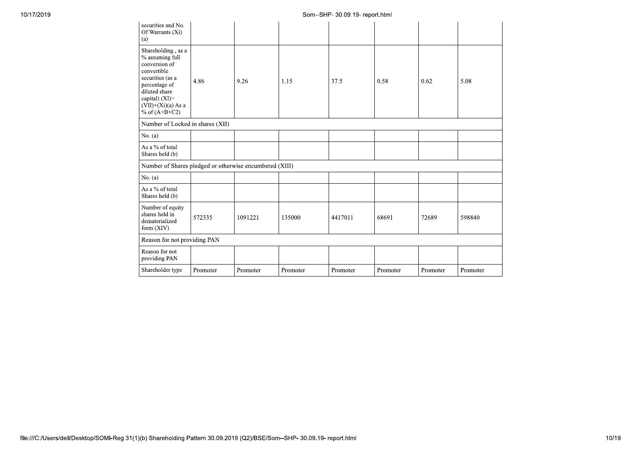| 10/17/2019 |                                                                                                                                                                                           |          |          |          | Som--SHP- 30.09.19- report.html |          |          |          |
|------------|-------------------------------------------------------------------------------------------------------------------------------------------------------------------------------------------|----------|----------|----------|---------------------------------|----------|----------|----------|
|            | securities and No.<br>Of Warrants (Xi)<br>(a)                                                                                                                                             |          |          |          |                                 |          |          |          |
|            | Shareholding , as a<br>% assuming full<br>conversion of<br>convertible<br>securities (as a<br>percentage of<br>diluted share<br>capital) (XI)=<br>$(VII)+(Xi)(a)$ As a<br>% of $(A+B+C2)$ | 4.86     | 9.26     | 1.15     | 37.5                            | 0.58     | 0.62     | 5.08     |
|            | Number of Locked in shares (XII)                                                                                                                                                          |          |          |          |                                 |          |          |          |
|            | No. $(a)$                                                                                                                                                                                 |          |          |          |                                 |          |          |          |
|            | As a $\%$ of total<br>Shares held (b)                                                                                                                                                     |          |          |          |                                 |          |          |          |
|            | Number of Shares pledged or otherwise encumbered (XIII)                                                                                                                                   |          |          |          |                                 |          |          |          |
|            | No. $(a)$                                                                                                                                                                                 |          |          |          |                                 |          |          |          |
|            | As a $\%$ of total<br>Shares held (b)                                                                                                                                                     |          |          |          |                                 |          |          |          |
|            | Number of equity<br>shares held in<br>dematerialized<br>form (XIV)                                                                                                                        | 572335   | 1091221  | 135000   | 4417011                         | 68691    | 72689    | 598840   |
|            | Reason for not providing PAN                                                                                                                                                              |          |          |          |                                 |          |          |          |
|            | Reason for not<br>providing PAN                                                                                                                                                           |          |          |          |                                 |          |          |          |
|            | Shareholder type                                                                                                                                                                          | Promoter | Promoter | Promoter | Promoter                        | Promoter | Promoter | Promoter |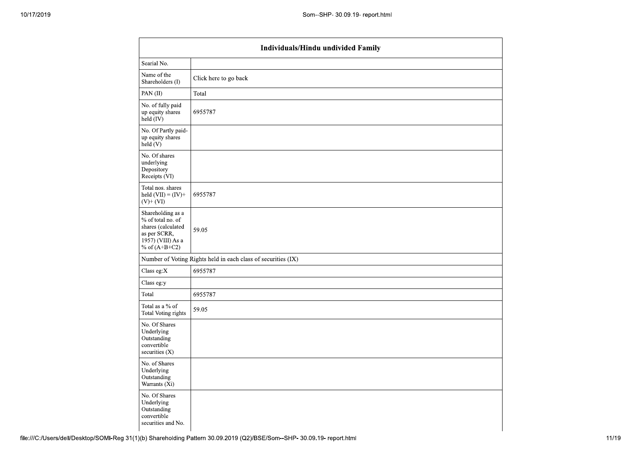|                                                                                                                      | Individuals/Hindu undivided Family                            |
|----------------------------------------------------------------------------------------------------------------------|---------------------------------------------------------------|
| Searial No.                                                                                                          |                                                               |
| Name of the<br>Shareholders (I)                                                                                      | Click here to go back                                         |
| PAN(II)                                                                                                              | Total                                                         |
| No. of fully paid<br>up equity shares<br>held (IV)                                                                   | 6955787                                                       |
| No. Of Partly paid-<br>up equity shares<br>held(V)                                                                   |                                                               |
| No. Of shares<br>underlying<br>Depository<br>Receipts (VI)                                                           |                                                               |
| Total nos. shares<br>held $(VII) = (IV) +$<br>$(V)+(VI)$                                                             | 6955787                                                       |
| Shareholding as a<br>% of total no. of<br>shares (calculated<br>as per SCRR,<br>1957) (VIII) As a<br>% of $(A+B+C2)$ | 59.05                                                         |
|                                                                                                                      | Number of Voting Rights held in each class of securities (IX) |
| Class eg:X                                                                                                           | 6955787                                                       |
| Class eg:y                                                                                                           |                                                               |
| Total                                                                                                                | 6955787                                                       |
| Total as a % of<br><b>Total Voting rights</b>                                                                        | 59.05                                                         |
| No. Of Shares<br>Underlying<br>Outstanding<br>convertible<br>securities $(X)$                                        |                                                               |
| No. of Shares<br>Underlying<br>Outstanding<br>Warrants (Xi)                                                          |                                                               |
| No. Of Shares<br>Underlying<br>Outstanding<br>convertible<br>securities and No.                                      |                                                               |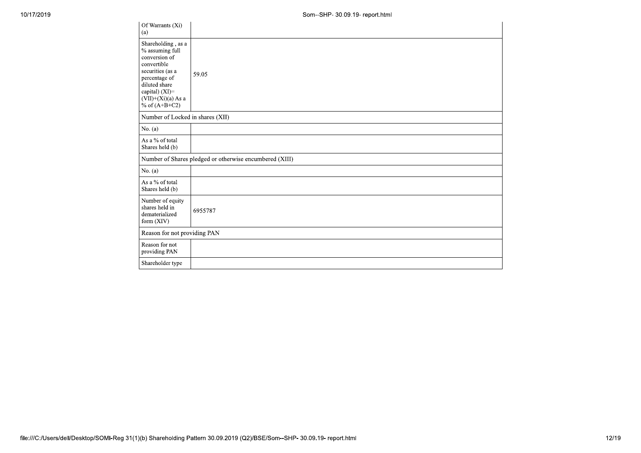| Of Warrants (Xi)<br>(a)                                                                                                                                                                     |                                                         |
|---------------------------------------------------------------------------------------------------------------------------------------------------------------------------------------------|---------------------------------------------------------|
| Shareholding, as a<br>$\%$ assuming full<br>conversion of<br>convertible<br>securities (as a<br>percentage of<br>diluted share<br>capital) (XI)=<br>$(VII)+(Xi)(a)$ As a<br>% of $(A+B+C2)$ | 59.05                                                   |
| Number of Locked in shares (XII)                                                                                                                                                            |                                                         |
| No. $(a)$                                                                                                                                                                                   |                                                         |
| As a % of total<br>Shares held (b)                                                                                                                                                          |                                                         |
|                                                                                                                                                                                             | Number of Shares pledged or otherwise encumbered (XIII) |
| No. $(a)$                                                                                                                                                                                   |                                                         |
| As a % of total<br>Shares held (b)                                                                                                                                                          |                                                         |
| Number of equity<br>shares held in<br>dematerialized<br>form (XIV)                                                                                                                          | 6955787                                                 |
| Reason for not providing PAN                                                                                                                                                                |                                                         |
| Reason for not<br>providing PAN                                                                                                                                                             |                                                         |
| Shareholder type                                                                                                                                                                            |                                                         |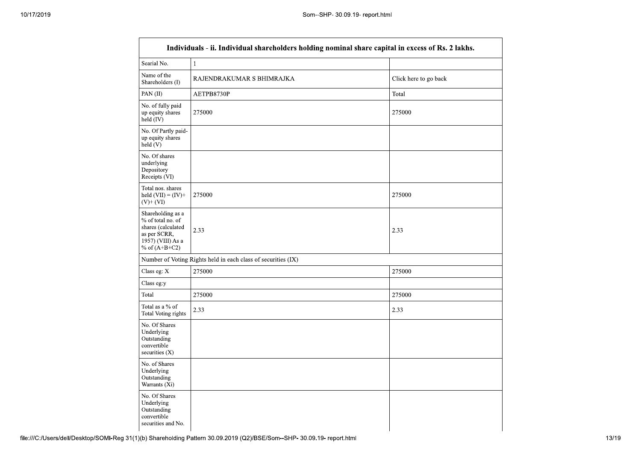|                                                                                                                      | Individuals - ii. Individual shareholders holding nominal share capital in excess of Rs. 2 lakhs. |                       |
|----------------------------------------------------------------------------------------------------------------------|---------------------------------------------------------------------------------------------------|-----------------------|
| Searial No.                                                                                                          | $\mathbf{1}$                                                                                      |                       |
| Name of the<br>Shareholders (I)                                                                                      | RAJENDRAKUMAR S BHIMRAJKA                                                                         | Click here to go back |
| PAN(II)                                                                                                              | AETPB8730P                                                                                        | Total                 |
| No. of fully paid<br>up equity shares<br>held (IV)                                                                   | 275000                                                                                            | 275000                |
| No. Of Partly paid-<br>up equity shares<br>held (V)                                                                  |                                                                                                   |                       |
| No. Of shares<br>underlying<br>Depository<br>Receipts (VI)                                                           |                                                                                                   |                       |
| Total nos. shares<br>held $(VII) = (IV) +$<br>$(V)$ + $(VI)$                                                         | 275000                                                                                            | 275000                |
| Shareholding as a<br>% of total no. of<br>shares (calculated<br>as per SCRR,<br>1957) (VIII) As a<br>% of $(A+B+C2)$ | 2.33                                                                                              | 2.33                  |
|                                                                                                                      | Number of Voting Rights held in each class of securities (IX)                                     |                       |
| Class eg: X                                                                                                          | 275000                                                                                            | 275000                |
| Class eg:y                                                                                                           |                                                                                                   |                       |
| Total                                                                                                                | 275000                                                                                            | 275000                |
| Total as a % of<br>Total Voting rights                                                                               | 2.33                                                                                              | 2.33                  |
| No. Of Shares<br>Underlying<br>Outstanding<br>convertible<br>securities $(X)$                                        |                                                                                                   |                       |
| No. of Shares<br>Underlying<br>Outstanding<br>Warrants (Xi)                                                          |                                                                                                   |                       |
| No. Of Shares<br>Underlying<br>Outstanding<br>convertible<br>securities and No.                                      |                                                                                                   |                       |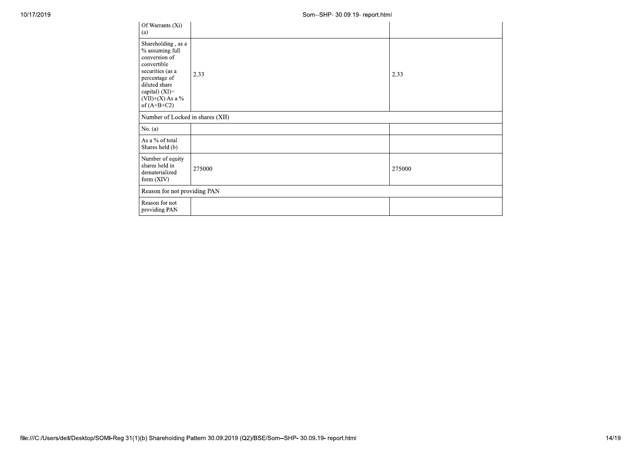| Of Warrants (Xi)<br>(a)                                                                                                                                                              |        |        |
|--------------------------------------------------------------------------------------------------------------------------------------------------------------------------------------|--------|--------|
| Shareholding, as a<br>% assuming full<br>conversion of<br>convertible<br>securities (as a<br>percentage of<br>diluted share<br>capital) (XI)=<br>$(VII)+(X)$ As a %<br>of $(A+B+C2)$ | 2.33   | 2.33   |
| Number of Locked in shares (XII)                                                                                                                                                     |        |        |
| No. $(a)$                                                                                                                                                                            |        |        |
| As a % of total<br>Shares held (b)                                                                                                                                                   |        |        |
| Number of equity<br>shares held in<br>dematerialized<br>form $(XIV)$                                                                                                                 | 275000 | 275000 |
| Reason for not providing PAN                                                                                                                                                         |        |        |
| Reason for not<br>providing PAN                                                                                                                                                      |        |        |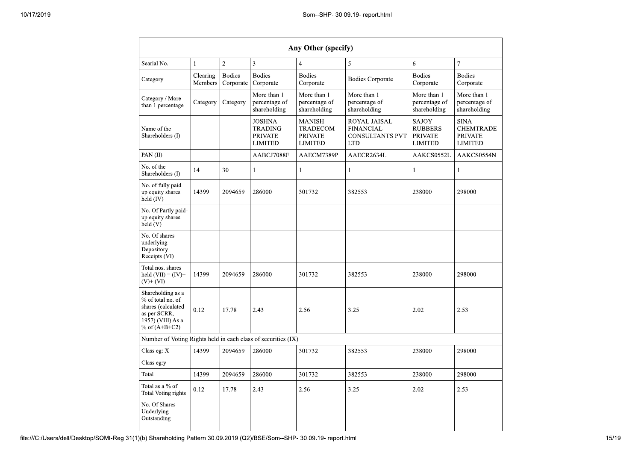|                                                                                                                      |                     |                            |                                                                     | Any Other (specify)                                                  |                                                                          |                                                             |                                                                     |
|----------------------------------------------------------------------------------------------------------------------|---------------------|----------------------------|---------------------------------------------------------------------|----------------------------------------------------------------------|--------------------------------------------------------------------------|-------------------------------------------------------------|---------------------------------------------------------------------|
| Searial No.                                                                                                          | $\mathbf{1}$        | $\overline{2}$             | 3                                                                   | $\overline{4}$                                                       | 5                                                                        | 6                                                           | $\overline{7}$                                                      |
| Category                                                                                                             | Clearing<br>Members | <b>Bodies</b><br>Corporate | <b>Bodies</b><br>Corporate                                          | <b>Bodies</b><br>Corporate                                           | <b>Bodies Corporate</b>                                                  | <b>Bodies</b><br>Corporate                                  | <b>Bodies</b><br>Corporate                                          |
| Category / More<br>than 1 percentage                                                                                 | Category            | Category                   | More than 1<br>percentage of<br>shareholding                        | More than 1<br>percentage of<br>shareholding                         | More than 1<br>percentage of<br>shareholding                             | More than 1<br>percentage of<br>shareholding                | More than 1<br>percentage of<br>shareholding                        |
| Name of the<br>Shareholders (I)                                                                                      |                     |                            | <b>JOSHNA</b><br><b>TRADING</b><br><b>PRIVATE</b><br><b>LIMITED</b> | <b>MANISH</b><br><b>TRADECOM</b><br><b>PRIVATE</b><br><b>LIMITED</b> | ROYAL JAISAL<br><b>FINANCIAL</b><br><b>CONSULTANTS PVT</b><br><b>LTD</b> | SAJOY<br><b>RUBBERS</b><br><b>PRIVATE</b><br><b>LIMITED</b> | <b>SINA</b><br><b>CHEMTRADE</b><br><b>PRIVATE</b><br><b>LIMITED</b> |
| PAN(II)                                                                                                              |                     |                            | AABCJ7088F                                                          | AAECM7389P                                                           | AAECR2634L                                                               | AAKCS0552L                                                  | AAKCS0554N                                                          |
| No. of the<br>Shareholders (I)                                                                                       | 14                  | 30                         | $\mathbf{1}$                                                        | $\mathbf{1}$                                                         | $\mathbf{1}$                                                             | $\mathbf{1}$                                                | $\mathbf{1}$                                                        |
| No. of fully paid<br>up equity shares<br>held (IV)                                                                   | 14399               | 2094659                    | 286000                                                              | 301732                                                               | 382553                                                                   | 238000                                                      | 298000                                                              |
| No. Of Partly paid-<br>up equity shares<br>held $(V)$                                                                |                     |                            |                                                                     |                                                                      |                                                                          |                                                             |                                                                     |
| No. Of shares<br>underlying<br>Depository<br>Receipts (VI)                                                           |                     |                            |                                                                     |                                                                      |                                                                          |                                                             |                                                                     |
| Total nos. shares<br>held $(VII) = (IV) +$<br>$(V)$ + $(V)$                                                          | 14399               | 2094659                    | 286000                                                              | 301732                                                               | 382553                                                                   | 238000                                                      | 298000                                                              |
| Shareholding as a<br>% of total no. of<br>shares (calculated<br>as per SCRR,<br>1957) (VIII) As a<br>% of $(A+B+C2)$ | 0.12                | 17.78                      | 2.43                                                                | 2.56                                                                 | 3.25                                                                     | 2.02                                                        | 2.53                                                                |
| Number of Voting Rights held in each class of securities (IX)                                                        |                     |                            |                                                                     |                                                                      |                                                                          |                                                             |                                                                     |
| Class eg: X                                                                                                          | 14399               | 2094659                    | 286000                                                              | 301732                                                               | 382553                                                                   | 238000                                                      | 298000                                                              |
| Class eg:y                                                                                                           |                     |                            |                                                                     |                                                                      |                                                                          |                                                             |                                                                     |
| Total                                                                                                                | 14399               | 2094659                    | 286000                                                              | 301732                                                               | 382553                                                                   | 238000                                                      | 298000                                                              |
| Total as a % of<br><b>Total Voting rights</b>                                                                        | 0.12                | 17.78                      | 2.43                                                                | 2.56                                                                 | 3.25                                                                     | 2.02                                                        | 2.53                                                                |
| No. Of Shares<br>Underlying<br>Outstanding                                                                           |                     |                            |                                                                     |                                                                      |                                                                          |                                                             |                                                                     |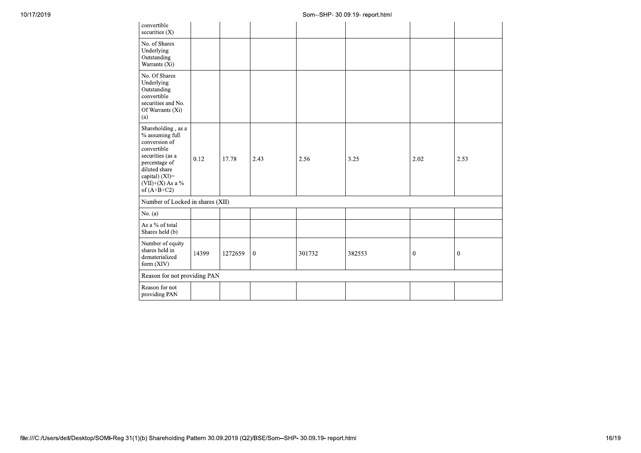| convertible<br>securities (X)                                                                                                                                                                   |       |         |                |        |        |              |              |
|-------------------------------------------------------------------------------------------------------------------------------------------------------------------------------------------------|-------|---------|----------------|--------|--------|--------------|--------------|
| No. of Shares<br>Underlying<br>Outstanding<br>Warrants (Xi)                                                                                                                                     |       |         |                |        |        |              |              |
| No. Of Shares<br>Underlying<br>Outstanding<br>convertible<br>securities and No.<br>Of Warrants (Xi)<br>(a)                                                                                      |       |         |                |        |        |              |              |
| Shareholding , as a<br>$\frac{6}{3}$ assuming full<br>conversion of<br>convertible<br>securities (as a<br>percentage of<br>diluted share<br>capital) (XI)=<br>(VII)+(X) As a %<br>of $(A+B+C2)$ | 0.12  | 17.78   | 2.43           | 2.56   | 3.25   | 2.02         | 2.53         |
| Number of Locked in shares (XII)                                                                                                                                                                |       |         |                |        |        |              |              |
| No. $(a)$                                                                                                                                                                                       |       |         |                |        |        |              |              |
| As a $\%$ of total<br>Shares held (b)                                                                                                                                                           |       |         |                |        |        |              |              |
| Number of equity<br>shares held in<br>${\tt dematerialized}$<br>form (XIV)                                                                                                                      | 14399 | 1272659 | $\overline{0}$ | 301732 | 382553 | $\mathbf{0}$ | $\mathbf{0}$ |
| Reason for not providing PAN                                                                                                                                                                    |       |         |                |        |        |              |              |
| Reason for not<br>providing PAN                                                                                                                                                                 |       |         |                |        |        |              |              |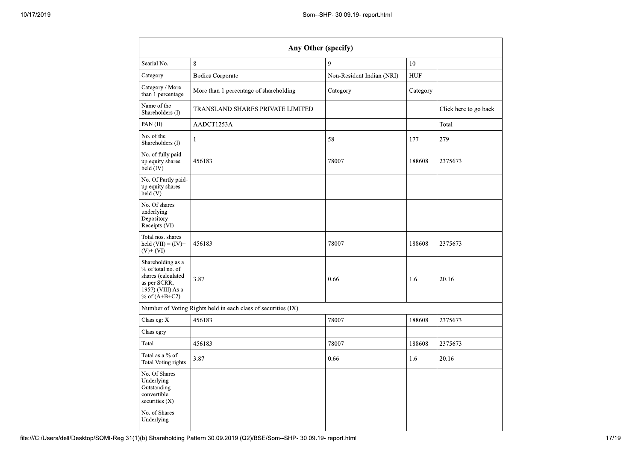|                                                                                                                      | Any Other (specify)                                           |                           |          |                       |
|----------------------------------------------------------------------------------------------------------------------|---------------------------------------------------------------|---------------------------|----------|-----------------------|
| Searial No.                                                                                                          | 8                                                             | 9                         | 10       |                       |
| Category                                                                                                             | <b>Bodies Corporate</b>                                       | Non-Resident Indian (NRI) | HUF      |                       |
| Category / More<br>than 1 percentage                                                                                 | More than 1 percentage of shareholding                        | Category                  | Category |                       |
| Name of the<br>Shareholders (I)                                                                                      | TRANSLAND SHARES PRIVATE LIMITED                              |                           |          | Click here to go back |
| PAN $(II)$                                                                                                           | AADCT1253A                                                    |                           |          | Total                 |
| No. of the<br>Shareholders (I)                                                                                       | 1                                                             | 58                        | 177      | 279                   |
| No. of fully paid<br>up equity shares<br>held $(IV)$                                                                 | 456183                                                        | 78007                     | 188608   | 2375673               |
| No. Of Partly paid-<br>up equity shares<br>held (V)                                                                  |                                                               |                           |          |                       |
| No. Of shares<br>underlying<br>Depository<br>Receipts (VI)                                                           |                                                               |                           |          |                       |
| Total nos. shares<br>held $(VII) = (IV) +$<br>$(V)+(VI)$                                                             | 456183                                                        | 78007                     | 188608   | 2375673               |
| Shareholding as a<br>% of total no. of<br>shares (calculated<br>as per SCRR,<br>1957) (VIII) As a<br>% of $(A+B+C2)$ | 3.87                                                          | 0.66                      | 1.6      | 20.16                 |
|                                                                                                                      | Number of Voting Rights held in each class of securities (IX) |                           |          |                       |
| Class eg: X                                                                                                          | 456183                                                        | 78007                     | 188608   | 2375673               |
| Class eg:y                                                                                                           |                                                               |                           |          |                       |
| Total                                                                                                                | 456183                                                        | 78007                     | 188608   | 2375673               |
| Total as a % of<br>Total Voting rights                                                                               | 3.87                                                          | 0.66                      | 1.6      | 20.16                 |
| No. Of Shares<br>Underlying<br>Outstanding<br>convertible<br>securities $(X)$                                        |                                                               |                           |          |                       |
| No. of Shares<br>Underlying                                                                                          |                                                               |                           |          |                       |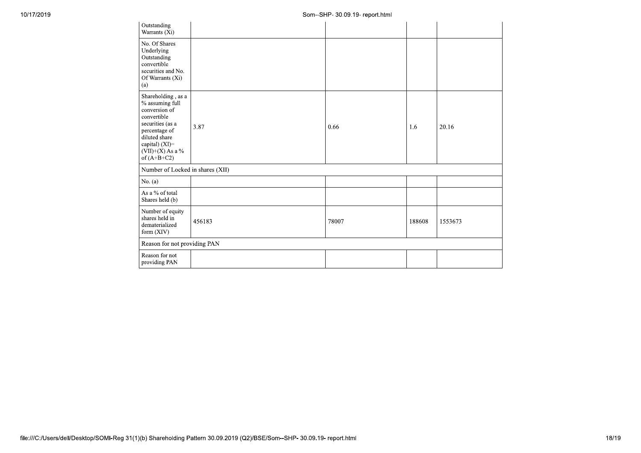| Outstanding<br>Warrants (Xi)                                                                                                                                                           |        |       |        |         |
|----------------------------------------------------------------------------------------------------------------------------------------------------------------------------------------|--------|-------|--------|---------|
| No. Of Shares<br>Underlying<br>Outstanding<br>convertible<br>securities and No.<br>Of Warrants (Xi)<br>(a)                                                                             |        |       |        |         |
| Shareholding, as a<br>$%$ assuming full<br>conversion of<br>convertible<br>securities (as a<br>percentage of<br>diluted share<br>capital) (XI)=<br>$(VII)+(X)$ As a %<br>of $(A+B+C2)$ | 3.87   | 0.66  | 1.6    | 20.16   |
| Number of Locked in shares (XII)                                                                                                                                                       |        |       |        |         |
| No. $(a)$                                                                                                                                                                              |        |       |        |         |
| As a % of total<br>Shares held (b)                                                                                                                                                     |        |       |        |         |
| Number of equity<br>shares held in<br>dematerialized<br>form (XIV)                                                                                                                     | 456183 | 78007 | 188608 | 1553673 |
| Reason for not providing PAN                                                                                                                                                           |        |       |        |         |
| Reason for not<br>providing PAN                                                                                                                                                        |        |       |        |         |